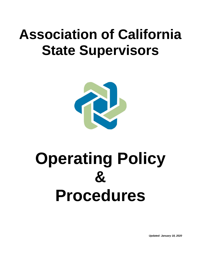## **Association of California State Supervisors**



# **Operating Policy & Procedures**

*Updated: January 18, 2020*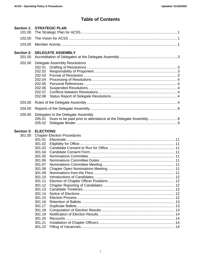## **Table of Contents**

| <b>Section 1:</b><br>101.00 | <b>STRATEGIC PLAN</b>                                                                                                                                                                                                                                                                                            |  |  |
|-----------------------------|------------------------------------------------------------------------------------------------------------------------------------------------------------------------------------------------------------------------------------------------------------------------------------------------------------------|--|--|
| 102.00                      |                                                                                                                                                                                                                                                                                                                  |  |  |
| 103.00                      |                                                                                                                                                                                                                                                                                                                  |  |  |
| <b>Section 2:</b><br>201.00 | <b>DELEGATE ASSEMBLY</b>                                                                                                                                                                                                                                                                                         |  |  |
| 202.00                      | <b>Delegate Assembly Resolutions</b><br>202.01<br>202.02<br>202.03<br>202.04<br>202.05<br>202.06<br>202.07<br>202.08                                                                                                                                                                                             |  |  |
| 203.00                      |                                                                                                                                                                                                                                                                                                                  |  |  |
| 204.00                      |                                                                                                                                                                                                                                                                                                                  |  |  |
| 205.00                      | Delegates to the Delegate Assembly<br>Dues to be paid prior to attendance at the Delegate Assembly 8<br>205.01<br>205.02                                                                                                                                                                                         |  |  |
| Section 3:<br>301.00        | <b>ELECTIONS</b><br><b>Chapter Election Procedures</b><br>301.01<br>301.02<br>301.03<br>301.04<br>301.05<br>301.06<br>301.07<br>301.08<br>Nominations from the Floor<br>301.09<br>301.10<br>301.11<br>301.12<br>301.13<br>301.14<br>301.15<br>301.16<br>301.17<br>301.18<br>301.19<br>301.20<br>301.21<br>301.22 |  |  |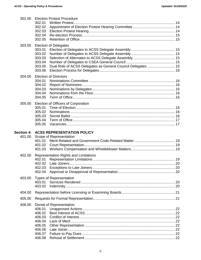| 302.00                      | <b>Election Protest Procedure</b><br>302.01<br>302.02<br>302.03<br>302.04<br>302.05                                                                      |  |
|-----------------------------|----------------------------------------------------------------------------------------------------------------------------------------------------------|--|
| 303.00                      | <b>Election of Delegates</b><br>303.01<br>303.02<br>303.03<br>303.04<br>Dual Role of ACSS Delegates as General Council Delegates  15<br>303.05<br>303.06 |  |
| 304.00                      | <b>Election of Directors</b><br>304.01<br>304.02<br>304.03<br>304.04<br>304.05                                                                           |  |
| 305.00                      | Election of Officers of Corporation<br>305.01<br>305.02<br>305.03<br>305.04<br>305.05                                                                    |  |
| <b>Section 4:</b><br>401.00 | <b>ACSS REPRESENTATION POLICY</b><br>Scope of Representation<br>401.01<br>401.02<br>401.03                                                               |  |
| 402.00                      | <b>Representation Rights and Limitations</b><br>402.01<br>402.03<br>402.04                                                                               |  |
| 403.00                      | <b>Types of Representation</b><br>403.01<br>403.02                                                                                                       |  |
| 404.00                      |                                                                                                                                                          |  |
| 405.00                      |                                                                                                                                                          |  |
|                             |                                                                                                                                                          |  |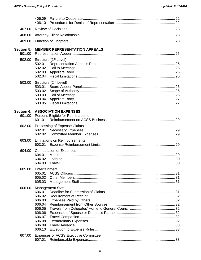|                      | 406.09<br>406.10                                                                                 |                                                                   |  |
|----------------------|--------------------------------------------------------------------------------------------------|-------------------------------------------------------------------|--|
| 407.00               |                                                                                                  |                                                                   |  |
| 408.00               |                                                                                                  |                                                                   |  |
| 409.00               |                                                                                                  |                                                                   |  |
| Section 5:<br>501.00 |                                                                                                  | <b>MEMBER REPRESENTATION APPEALS</b>                              |  |
| 502.00               | 502.01<br>502.02<br>502.03<br>502.04                                                             | Structure (1 <sup>st</sup> Level)                                 |  |
| 503.00               | 503.01<br>503.02<br>503.03<br>503.04<br>503.05                                                   | Structure (2 <sup>nd</sup> Level)                                 |  |
| Section 6:<br>601.00 | 601.01                                                                                           | <b>ASSOCIATION EXPENSES</b><br>Persons Eligible for Reimbursement |  |
| 602.00               | 602.01<br>602.02                                                                                 | Processing of Expense Claims                                      |  |
| 603.00               | 603.01                                                                                           | <b>Limitations on Reimbursements</b>                              |  |
| 604.00               | 604.01<br>604.02                                                                                 | <b>Computation of Expenses</b>                                    |  |
| 605.00               | Entertainment<br>605.01<br>605.02<br>605.03                                                      |                                                                   |  |
| 606.00               | 606.01<br>606.02<br>606.03<br>606.04<br>606.05<br>606.06<br>606.07<br>606.08<br>606.09<br>606.10 | <b>Management Staff</b>                                           |  |
| 607.00               | 607.01                                                                                           | <b>Expenses of ACSS Executive Committee</b>                       |  |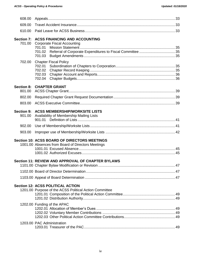| 608.00               |                                                                                                          |  |
|----------------------|----------------------------------------------------------------------------------------------------------|--|
| 609.00               |                                                                                                          |  |
| 610.00               |                                                                                                          |  |
| Section 7:<br>701.00 | <b>ACSS FINANCING AND ACCOUNTING</b><br><b>Corporate Fiscal Accounting</b><br>701.01<br>701.02<br>701.03 |  |
| 702.00               | <b>Chapter Fiscal Policy</b><br>702.01<br>702.02<br>702.03<br>702.04                                     |  |
| Section 8:           | <b>CHAPTER GRANT</b>                                                                                     |  |
| 801.00<br>802.00     |                                                                                                          |  |
| 803.00               |                                                                                                          |  |
|                      |                                                                                                          |  |
| 901.00               | Section 9: ACSS MEMBERSHIP/WORKSITE LISTS<br>Availability of Membership Mailing Lists<br>901.01          |  |
| 902.00               |                                                                                                          |  |
| 903.00               |                                                                                                          |  |
|                      | <b>Section 10: ACSS BOARD OF DIRECTORS MEETINGS</b>                                                      |  |
|                      | 1001.00 Absences from Board of Directors Meetings                                                        |  |
|                      | Section 11: REVIEW AND APPROVAL OF CHAPTER BYLAWS                                                        |  |
|                      |                                                                                                          |  |
|                      |                                                                                                          |  |
|                      |                                                                                                          |  |
|                      | <b>Section 12: ACSS POLITICAL ACTION</b><br>1201.00 Purpose of the ACSS Political Action Committee       |  |
|                      | 1202.00 Funding of the APAC                                                                              |  |
|                      | 1203.00 PAC Administration                                                                               |  |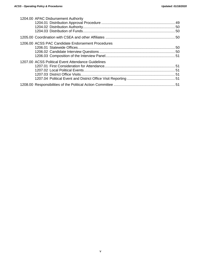| 1204.00 APAC Disbursement Authority                |  |
|----------------------------------------------------|--|
|                                                    |  |
| 1206.00 ACSS PAC Candidate Endorsement Procedures  |  |
| 1207.00 ACSS Political Event Attendance Guidelines |  |
|                                                    |  |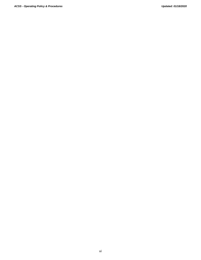vi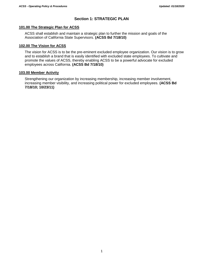## **Section 1: STRATEGIC PLAN**

#### **101.00 The Strategic Plan for ACSS**

ACSS shall establish and maintain a strategic plan to further the mission and goals of the Association of California State Supervisors. **(ACSS Bd 7/18/10)**

#### **102.00 The Vision for ACSS**

The vision for ACSS is to be the pre-eminent excluded employee organization. Our vision is to grow and to establish a brand that is easily identified with excluded state employees. To cultivate and promote the values of ACSS, thereby enabling ACSS to be a powerful advocate for excluded employees across California. **(ACSS Bd 7/18/10)**

#### **103.00 Member Activity**

Strengthening our organization by increasing membership, increasing member involvement, increasing member visibility, and increasing political power for excluded employees. **(ACSS Bd 7/18/10; 10/23/11)**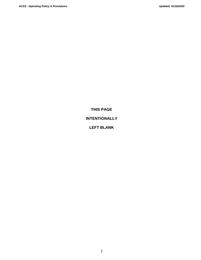## **INTENTIONALLY**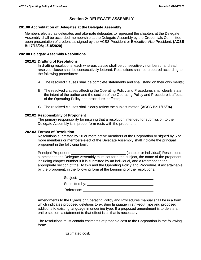## **Section 2: DELEGATE ASSEMBLY**

#### **201.00 Accreditation of Delegates at the Delegate Assembly**

Members elected as delegates and alternate delegates to represent the chapters at the Delegate Assembly shall be accorded membership at the Delegate Assembly by the Credentials Committee upon presentation of credentials signed by the ACSS President or Executive Vice President. **(ACSS Bd 7/13/08; 1/18/2020)**

#### **202.00 Delegate Assembly Resolutions**

#### **202.01 Drafting of Resolutions**

In drafting resolutions, each whereas clause shall be consecutively numbered, and each resolved clause shall be consecutively lettered. Resolutions shall be prepared according to the following procedures:

- A. The resolved clauses shall be complete statements and shall stand on their own merits;
- B. The resolved clauses affecting the Operating Policy and Procedures shall clearly state the intent of the author and the section of the Operating Policy and Procedure it affects; of the Operating Policy and procedure it affects;
- C. The resolved clauses shall clearly reflect the subject matter. **(ACSS Bd 1/15/94)**

#### **202.02 Responsibility of Proponent**

The primary responsibility for insuring that a resolution intended for submission to the Delegate Assembly is in proper form rests with the proponent.

#### **202.03 Format of Resolution**

Resolutions submitted by 10 or more active members of the Corporation or signed by 5 or more members or members-elect of the Delegate Assembly shall indicate the principal proponent in the following form:

Principal Proponent: \_\_\_\_\_\_\_\_\_\_\_\_\_\_\_\_\_\_\_\_\_\_\_\_\_\_\_ (chapter or individual) Resolutions submitted to the Delegate Assembly must set forth the subject, the name of the proponent, including chapter number if it is submitted by an individual, and a reference to the appropriate section of the Bylaws and the Operating Policy and Procedure, if ascertainable by the proponent, in the following form at the beginning of the resolutions:

| Subject:      |  |
|---------------|--|
| Submitted by: |  |
| Reference:    |  |

Amendments to the Bylaws or Operating Policy and Procedures manual shall be in a form which indicates proposed deletions to existing language in strikeout type and proposed additions to existing language in underline type. If a proposed amendment is to delete an entire section, a statement to that effect is all that is necessary.

The resolutions must contain estimates of probable cost to the Corporation in the following form:

Estimated cost: **Example 20**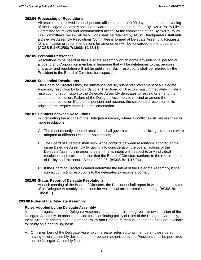#### **202.04 Processing of Resolutions**

All resolutions received in headquarters office no later than 90 days prior to the convening of the Delegate Assembly shall be forwarded to the members of the Bylaws & Policy File Committee for review and recommended action. At the completion of the Bylaws & Policy File Committee's review, all resolutions shall be retained by ACSS Headquarters staff until a Delegate Assembly Resolutions Committee is formed at Delegate Assembly. Requests for clarification or recommendations for amendment will be forwarded to the proponent. **(ACSS Bd 4/12/03; 7/13/08; 10/23/11)**

#### **202.05 Personal References**

Resolutions to be heard at the Delegate Assembly which name any individual person or allude to any Corporation member in language that will be deleterious to that person's character and reputation will not be published. Such resolutions shall be referred by the President to the Board of Directors for disposition.

#### **202.06 Suspended Resolutions**

The Board of Directors may, for substantial cause, suspend enforcement of a Delegate Assembly resolution by two-thirds vote. The Board of Directors must immediately initiate a resolution for submission to the Delegate Assembly delegates to rescind or amend the suspended resolution. Failure of the Delegate Assembly to rescind or amend the suspended resolution lifts the suspension and restores the suspended resolution to its original form, require immediate implementation.

#### **202.07 Conflicts between Resolutions**

In interpreting the actions of the Delegate Assembly where a conflict exists between two or more resolutions:

- A. The most recently adopted resolution shall govern when the conflicting resolutions were adopted at different Delegate Assemblies;
- B. The Board of Directors shall resolve the conflicts between resolutions adopted at the same Delegate Assembly by taking into consideration the overall actions of the Delegate Assembly in order to determine its intent with respect to any individual resolution and provided further that the Board of Directors conform to the requirements of Policy and Procedure Section 202.06. **(ACSS Bd 1/15/94)**
- C. If the Board of Directors cannot determine the intent of the Delegate Assembly, it shall submit conflicting resolutions to the delegates to resolve a conflict.

#### **202.08 Status Report of Delegate Resolutions**

At each meeting of the Board of Directors, the President shall report in writing on the status of all Delegate Assembly resolutions for which final action remains pending. **(ACSS Bd 10/23/11)**

#### **203.00 Rules of the Delegate Assembly**

#### **Rules Adopted by the Delegate Assembly**

It is the prerogative of each Delegate Assembly to adopt the rules to govern its own session of the Delegate Assembly. In order to provide for a continuing policy of rules of the Delegate Assembly, these rules are printed in the Operating Policy and Procedure manual so that the rules are available for study on a continuing basis.

A. Only members of the Delegate Assembly (hereafter referred to as members), those person having official assembly duties and other person authorized by the President shall be permitted on the Delegate Assembly floor.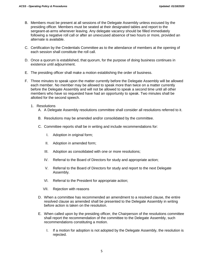- B. Members must be present at all sessions of the Delegate Assembly unless excused by the presiding officer. Members must be seated at their designated tables and report to the sergeant-at-arms whenever leaving. Any delegate vacancy should be filled immediately following a negative roll call or after an unexcused absence of two hours or more, provided an alternate is available.
- C. Certification by the Credentials Committee as to the attendance of members at the opening of each session shall constitute the roll call.
- D. Once a quorum is established, that quorum, for the purpose of doing business continues in existence until adjournment.
- E. The presiding officer shall make a motion establishing the order of business.
- F. Three minutes to speak upon the matter currently before the Delegate Assembly will be allowed each member. No member may be allowed to speak more than twice on a matter currently before the Delegate Assembly and will not be allowed to speak a second time until all other members who have so requested have had an opportunity to speak. Two minutes shall be allotted for the second speech.
	- 1. Resolutions
		- A. A Delegate Assembly resolutions committee shall consider all resolutions referred to it.
		- B. Resolutions may be amended and/or consolidated by the committee.
		- C. Committee reports shall be in writing and include recommendations for:
			- I. Adoption in original form;
			- II. Adoption in amended form;
			- III. Adoption as consolidated with one or more resolutions;
			- IV. Referral to the Board of Directors for study and appropriate action;
			- V. Referral to the Board of Directors for study and report to the next Delegate Assembly.
			- VI. Referral to the President for appropriate action;
			- VII. Rejection with reasons
		- D. When a committee has recommended an amendment to a resolved clause, the entire resolved clause as amended shall be presented to the Delegate Assembly in writing before action is taken on the resolution.
		- E. When called upon by the presiding officer, the Chairperson of the resolutions committee shall report the recommendation of the committee to the Delegate Assembly, such recommendations constituting a motion.
			- I. If a motion for adoption is not adopted by the Delegate Assembly, the resolution is rejected.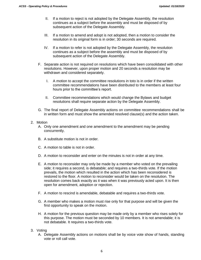- II. If a motion to reject is not adopted by the Delegate Assembly, the resolution continues as a subject before the assembly and must be disposed of by subsequent action of the Delegate Assembly.
- III. If a motion to amend and adopt is not adopted, then a motion to consider the resolution in its original form is in order; 30 seconds are required.
- IV. If a motion to refer is not adopted by the Delegate Assembly, the resolution continues as a subject before the assembly and must be disposed of by subsequent action of the Delegate Assembly.
- F. Separate action is not required on resolutions which have been consolidated with other resolutions. However, upon proper motion and 20 seconds a resolution may be withdrawn and considered separately.
	- I. A motion to accept the committee resolutions in toto is in order if the written committee recommendations have been distributed to the members at least four hours prior to the committee's report.
	- II. Committee recommendations which would change the Bylaws and budget resolutions shall require separate action by the Delegate Assembly.
- G. The final report of Delegate Assembly actions on committee recommendations shall be in written form and must show the amended resolved clause(s) and the action taken.
- 2. Motion
	- A. Only one amendment and one amendment to the amendment may be pending concurrently.
	- B. A substitute motion is not in order.
	- C. A motion to table is not in order.
	- D. A motion to reconsider and enter on the minutes is not in order at any time.
	- E. A motion to reconsider may only be made by a member who voted on the prevailing side; it requires a second, is debatable; and requires a two-thirds vote. If the motion prevails, the motion which resulted in the action which has been reconsidered is restored to the floor. A motion to reconsider would be taken on the resolution. The resolution comes back exactly as it was when it was previously acted upon. It is then open for amendment, adoption or rejection.
	- F. A motion to rescind is amendable, debatable and requires a two-thirds vote.
	- G. A member who makes a motion must rise only for that purpose and will be given the first opportunity to speak on the motion.
	- H. A motion for the previous question may be made only by a member who rises solely for this purpose. The motion must be seconded by 10 members. It is not amendable; it is not debatable. It requires a two-thirds vote.
- 3. Voting
	- A. Delegate Assembly actions on motions shall be by voice vote show of hands, standing vote or roll call vote.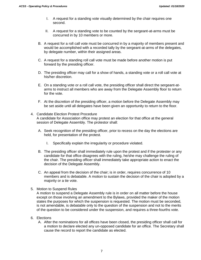- I. A request for a standing vote visually determined by the chair requires one second.
- II. A request for a standing vote to be counted by the sergeant-at-arms must be concurred in by 10 members or more.
- B. A request for a roll call vote must be concurred in by a majority of members present and would be accomplished with a recorded tally by the sergeant-at-arms of the delegates, by delegate number, within their assigned areas.
- C. A request for a standing roll call vote must be made before another motion is put forward by the presiding officer.
- D. The presiding officer may call for a show of hands, a standing vote or a roll call vote at his/her discretion.
- E. On a standing vote or a roll call vote, the presiding officer shall direct the sergeant-atarms to instruct all members who are away from the Delegate Assembly floor to return for the vote.
- F. At the discretion of the presiding officer, a motion before the Delegate Assembly may be set aside until all delegates have been given an opportunity to return to the floor.
- 4. Candidate Election Protest Procedure A candidate for Association office may protest an election for that office at the general session of Delegate Assembly. The protestor shall:
	- A. Seek recognition of the presiding officer, prior to recess on the day the elections are held, for presentation of the protest.
		- I. Specifically explain the irregularity or procedure violated.
	- B. The presiding officer shall immediately rule upon the protest and if the protester or any candidate for that office disagrees with the ruling, he/she may challenge the ruling of the chair. The presiding officer shall immediately take appropriate action to enact the decision of the Delegate Assembly.
	- C. An appeal from the decision of the chair; is in order, requires concurrence of 10 members and is debatable. A motion to sustain the decision of the chair is adopted by a majority or a tie vote.
- 5. Motion to Suspend Rules

A motion to suspend a Delegate Assembly rule is in order on all matter before the house except on those involving an amendment to the Bylaws, provided the maker of the motion states the purposes for which the suspension is requested. The motion must be seconded, is not amendable, is debatable only to the question of the suspension and not to the merits of the question to be considered under the suspension, and requires a three-fourths vote.

- 6. Elections
	- A. After the nominations for all offices have been closed, the presiding officer shall call for a motion to declare elected any un-opposed candidate for an office. The Secretary shall cause the record to report the candidate as elected.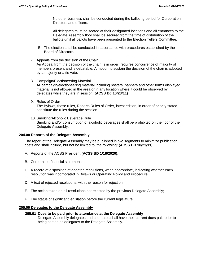- I. No other business shall be conducted during the balloting period for Corporation Directors and officers.
- II. All delegates must be seated at their designated locations and all entrances to the Delegate Assembly floor shall be secured from the time of distribution of the ballots until all ballots have been presented to the Election Tellers Committee.
- B. The election shall be conducted in accordance with procedures established by the Board of Directors.
- 7. Appeals from the decision of the Chair An Appeal from the decision of the chair; is in order, requires concurrence of majority of members present and is debatable. A motion to sustain the decision of the chair is adopted by a majority or a tie vote.
- 8. Campaign/Electioneering Material All campaign/electioneering material including posters, banners and other forms displayed material is not allowed in the area or in any location where it could be observed by delegates while they are in session. **(ACSS Bd 10/23/11)**
- 9. Rules of Order

The Bylaws, these rules, Roberts Rules of Order, latest edition, in order of priority stated, constitute the rules during the session.

10. Smoking/Alcoholic Beverage Rule Smoking and/or consumption of alcoholic beverages shall be prohibited on the floor of the Delegate Assembly.

#### **204.00 Reports of the Delegate Assembly**

The report of the Delegate Assembly may be published in two segments to minimize publication costs and shall include, but not be limited to, the following: **(ACSS BD 10/23/11)**

- A. Reports of the ACSS President **(ACSS BD 1/18/2020);**
- B. Corporation financial statement;
- C. A record of disposition of adopted resolutions, when appropriate, indicating whether each resolution was incorporated in Bylaws or Operating Policy and Procedure;
- D. A text of rejected resolutions, with the reason for rejection;
- E. The action taken on all resolutions not rejected by the previous Delegate Assembly;
- F. The status of significant legislation before the current legislature.

#### **205.00 Delegates to the Delegate Assembly**

#### **205.01 Dues to be paid prior to attendance at the Delegate Assembly** Delegate Assembly delegates and alternates shall have their current dues paid prior to being seated as delegates to the Delegate Assembly.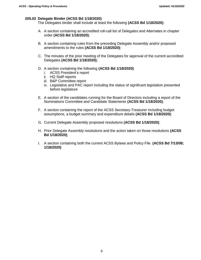#### **205.02 Delegate Binder (ACSS Bd 1/18/2020)**

The Delegates binder shall include at least the following **(ACSS Bd 1/18/2020)**:

- A. A section containing an accredited roll-call list of Delegates and Alternates in chapter order **(ACSS Bd 1/18/2020)**;
- B. A section containing rules from the preceding Delegate Assembly and/or proposed amendments to the rules **(ACSS Bd 1/18/2020)**;
- C. The minutes of the prior meeting of the Delegates for approval of the current accredited Delegates **(ACSS Bd 1/18/2020)**;
- D. A section containing the following **(ACSS Bd 1/18/2020)**
	- i. ACSS President's report
	- ii. HQ Staff reports
	- iii. B&P Committee report
	- iv. Legislative and PAC report including the status of significant legislation presented before legislature
- E. A section of the candidates running for the Board of Directors including a report of the Nominations Committee and Candidate Statements **(ACSS Bd 1/18/2020)**;
- F. A section containing the report of the ACSS Secretary-Treasurer including budget assumptions, a budget summary and expenditure details **(ACSS Bd 1/18/2020)**;
- G. Current Delegate Assembly proposed resolutions **(ACSS Bd 1/18/2020)**;
- H. Prior Delegate Assembly resolutions and the action taken on those resolutions **(ACSS Bd 1/18/2020)**;
- I. A section containing both the current ACSS Bylaws and Policy File. **(ACSS Bd 7/13/08; 1/18/2020)**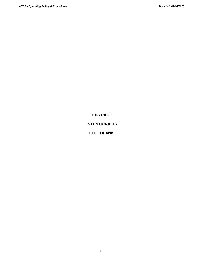**INTENTIONALLY**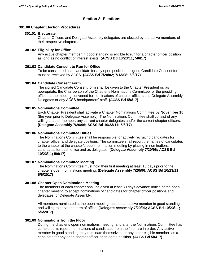## **Section 3: Elections**

#### **301.00 Chapter Election Procedures**

#### **301.01 Electorate**

Chapter Officers and Delegate Assembly delegates are elected by the active members of their respective chapters.

#### **301.02 Eligibility for Office**

Any active chapter member in good standing is eligible to run for a chapter officer position as long as no conflict of interest exists. **(ACSS Bd 10/23/11; 5/6/17)**

#### **301.03 Candidate Consent to Run for Office**

To be considered as a candidate for any open position, a signed Candidate Consent form must be received by ACSS. **(ACSS Bd 7/20/02; 7/13/08; 5/6/17)**

#### **301.04 Candidate Consent Form**

The signed Candidate Consent form shall be given to the Chapter President or, as appropriate, the Chairperson of the Chapter's Nominations Committee; or the presiding officer at the meeting convened for nominations of chapter officers and Delegate Assembly Delegates or any ACSS headquarters' staff. **(ACSS Bd 5/6/17)**

#### **301.05 Nominations Committee**

Each Chapter President shall activate a Chapter Nominations Committee **by November 15** (the year prior to Delegate Assembly). The Nominations Committee shall consist of any willing chapter member, any current chapter delegates and/or the current chapter officers. **(Delegate Assembly 7/20/96; ACSS Bd 10/23/11; 5/6/17)**

#### **301.06 Nominations Committee Duties**

The Nominations Committee shall be responsible for actively recruiting candidates for chapter officer and delegate positions. The committee shall report the names of candidates to the chapter at the chapter's open nomination meeting by placing in nominations candidates for each office and as delegates. **(Delegate Assembly 7/20/96; ACSS Bd 10/23/11; 5/6/17)**

#### **301.07 Nominations Committee Meeting**

The Nominations Committee must hold their first meeting at least 10 days prior to the chapter's open nominations meeting. **(Delegate Assembly 7/20/96; ACSS Bd 10/23/11; 5/6/2017)**

#### **301.08 Chapter Open Nominations Meeting**

The members of each chapter shall be given at least 30 days advance notice of the open chapter meeting to accept nominations of candidates for chapter officer positions and delegates for Delegate Assembly.

All members nominated at the open meeting must be an active member in good standing and willing to serve the term of office. **(Delegate Assembly 7/20/96; ACSS Bd 10/23/11; 5/6/2017)**

#### **301.09 Nominations from the Floor**

During the chapter's open nominations meeting, and after the Nominations Committee has completed its report, nominations of candidates from the floor are in order. Any active member in good standing may nominate themselves, or any other eligible member, as a candidate for any open chapter officer or delegate position. (**ACSS Bd 5/6/17)**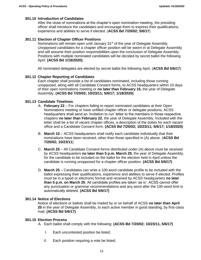#### **301.10 Introduction of Candidates**

After the close of nominations at the chapter's open nomination meeting, the presiding officer shall introduce the candidates and encourage them to express their qualifications, experience and abilities to serve if elected. (**ACSS Bd 7/20/02; 5/6/17**)

#### **301.11 Election of Chapter Officer Positions**

Nominations will remain open until January 31<sup>st</sup> of the year of Delegate Assembly. Unopposed candidates for a chapter officer position will be sworn in at Delegate Assembly and will assume their position responsibilities upon the conclusion of Delegate Assembly. Positions with multiple nominated candidates will be decided by secret ballot the following April. **(ACSS Bd 1/18/2020)**;

All nominated delegates are elected by secret ballot the following April. (**ACSS Bd 5/6/17**)

#### **301.12 Chapter Reporting of Candidates**

Each chapter shall provide a list of candidates nominated, including those running unopposed, along with all Candidate Consent forms, to ACSS headquarters within 10 days of their open nominations meeting or **no later than February 15,** the year of Delegate Assembly. **(ACSS Bd 7/20/02; 10/23/11; 5/6/17; 1/18/2020)**

#### **301.13 Candidate Timelines**

- A. **February 22** For chapters failing to report nominated candidates at their Open Nominations meeting or have unfilled chapter officer or delegate positions, ACSS headquarters shall send an 'invitation to run' letter to the members in those respective chapters **no later than February 22**, the year of Delegate Assembly. Included with the letter shall be a list of vacant chapter offices, a description of the duties for each vacant office and a Candidate Consent form. **(ACSS Bd 7/20/02; 10/23/11; 5/6/17; 1/18/2020)**
- B. **March 10**  ACSS headquarters shall notify each candidate individually that their nominations have been received, other than those specified in (A) above. (**ACSS Bd 7/20/02; 10/23/11**)
- C. **March 25**  All Candidate Consent forms distributed under (A) above must be received by ACSS headquarters **no later than 5 p.m. March 25**, the year of Delegate Assembly, for the candidate to be included on the ballot for the election held in April unless the candidate is running unopposed for a chapter officer position. **(ACSS Bd 5/6/17)**
- D. **March 25** Candidates can write a 100-word candidate profile to be included with the ballot expressing their qualifications, experience and abilities to serve if elected. Profiles must be in a typed or electronic format and received by ACSS headquarters **no later than 5 p.m. on March 25**. All candidate profiles are taken 'as is'. ACSS cannot offer any punctuation or grammar recommendations and any word after the 100-word limit is automatically deleted. **(ACSS Bd 5/6/17)**

#### **301.14 Notice of Elections**

Notice of elections or ballots shall be mailed by or on behalf of ACSS **no later than April 20** in the year of Delegate Assembly, to each active member in good standing, by first-class mail. **(ACSS Bd 5/6/17)**

#### **301.15 Election Process**

- A. Each ballot shall comply with the following: **(ACSS Bd 7/20/02; 10/23/11, 5/6/17)**
	- I. Each uncontested position be listed;
	- II. Each position requiring a vote be listed;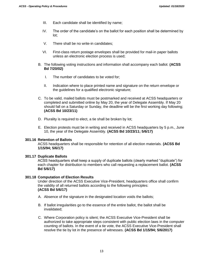- III. Each candidate shall be identified by name;
- IV. The order of the candidate's on the ballot for each position shall be determined by lot;
- V. There shall be no write-in candidates;
- VI. First-class return postage envelopes shall be provided for mail-in paper ballots unless an electronic election process is used;
- B. The following voting instructions and information shall accompany each ballot: **(ACSS Bd 7/20/02)**
	- I. The number of candidates to be voted for;
	- II. Indication where to place printed name and signature on the return envelope or the guidelines for a qualified electronic signature;
- C. To be valid, mailed ballots must be postmarked and received at ACSS headquarters or completed and submitted online by May 20, the year of Delegate Assembly. If May 20 should fall on a Saturday or Sunday, the deadline will be the first working day following; **(ACSS Bd 10/23/11)**
- D. Plurality is required to elect, a tie shall be broken by lot;
- E. Election protests must be in writing and received in ACSS headquarters by 5 p.m., June 10, the year of the Delegate Assembly. **(ACSS Bd 10/23/11; 5/6/17)**

#### **301.16 Retention of Ballots**

ACSS headquarters shall be responsible for retention of all election materials. **(ACSS Bd 1/15/94; 5/6/17)**

#### **301.17 Duplicate Ballots**

ACSS headquarters shall keep a supply of duplicate ballots (clearly marked "duplicate") for each chapter for distribution to members who call requesting a replacement ballot. **(ACSS Bd 5/6/17)**

#### **301.18 Computation of Election Results**

Under direction of the ACSS Executive Vice-President, headquarters office shall confirm the validity of all returned ballots according to the following principles: **(ACSS Bd 5/6/17)**

- A. Absence of the signature in the designated location voids the ballots;
- B. If ballot irregularities go to the essence of the entire ballot, the ballot shall be invalidated;
- C. Where Corporation policy is silent; the ACSS Executive Vice-President shall be authorized to take appropriate steps consistent with public election laws in the computer counting of ballots. In the event of a tie vote, the ACSS Executive Vice-President shall resolve the tie by lot in the presence of witnesses. **(ACSS Bd 1/15/94; 5/6/2017)**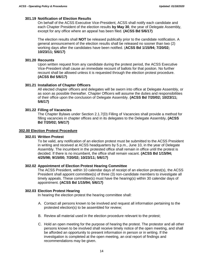#### **301.19 Notification of Election Results**

On behalf of the ACSS Executive Vice-President, ACSS shall notify each candidate and each Chapter President of the election results **by May 30**, the year of Delegate Assembly, except for any office where an appeal has been filed. **(ACSS Bd 5/6/17)**

The election results shall **NOT** be released publically prior to the candidate notification. A general announcement of the election results shall be released no sooner than two (2) working days after the candidates have been notified. (**ACSS Bd 1/15/94; 7/20/02; 10/23/11; 5/6/17)**

#### **301.20 Recounts**

Upon written request from any candidate during the protest period, the ACSS Executive Vice-President shall cause an immediate recount of ballots for that positon. No further recount shall be allowed unless it is requested through the election protest procedure. **(ACSS Bd 5/6/17)**

#### **301.21 Installation of Chapter Officers**

All elected chapter officers and delegates will be sworn into office at Delegate Assembly, or as soon as possible thereafter. Chapter Officers will assume the duties and responsibilities of their office upon the conclusion of Delegate Assembly. **(ACSS Bd 7/20/02; 10/23/11; 5/6/17)**

#### **301.22 Filling of Vacancies**

The Chapter Bylaws under Section 2.1.7(D) Filling of Vacancies shall provide a method for filling vacancies in chapter offices and in its delegates to the Delegate Assembly**. (ACSS Bd 7/20/02; 5/6/17)**

#### **302.00 Election Protest Procedure**

#### **302.01 Written Protest**

To be valid, any notification of an election protest must be submitted to the ACSS President in writing and received at ACSS headquarters by 5 p.m., June 10, in the year of Delegate Assembly. The incumbent in the protested office shall remain in office until the protest is decided. If there is no incumbent, the office shall remain vacant. **(ACSS Bd 1/15/94; 4/25/98; 9/15/00; 7/20/02; 10/23/11; 5/6/17)**

#### **302.02 Appointment of Election Protest Hearing Committee**

The ACSS President, within 10 calendar days of receipt of an election protest(s), the ACSS President shall appoint committee(s) of three (3) non-candidate members to investigate all timely appeals. These committee(s) must have the hearing(s) within 30 calendar days of appointment. **(ACSS Bd 1/15/94; 5/6/17)**

#### **302.03 Election Protest Hearing**

In hearing the election protest the hearing committee shall:

- A. Contact all persons known to be involved and request all information pertaining to the protested election(s) to be assembled for review;
- B. Review all material used in the election procedure relevant to the protest;
- C. Hold an open meeting for the purpose of hearing the protest. The protestor and all other persons known to be involved shall receive timely notice of the open meeting, and shall be afforded an opportunity to present information in person or in writing. If the investigation is completed at the open meeting, an oral report of findings and recommendations may be given.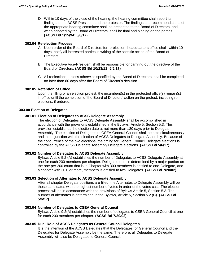D. Within 10 days of the close of the hearing, the hearing committee shall report its findings to the ACSS President and the protestor. The findings and recommendations of the appropriate hearing committee shall be presented to the Board of Directors; and, when adopted by the Board of Directors, shall be final and binding on the parties. **(ACSS Bd 1/15/94; 5/6/17)**

#### **302.04 Re-election Process**

- A. Upon order of the Board of Directors for re-election, headquarters office shall, within 10 days, notify all interested parties in writing of the specific action of the Board of Directors.
- B. The Executive Vice-President shall be responsible for carrying out the directive of the Board of Directors. **(ACSS Bd 10/23/11; 5/6/17)**
- C. All reelections, unless otherwise specified by the Board of Directors, shall be completed no later than 60 days after the Board of Director's decision.

#### **302.05 Retention of Office**

Upon the filling of an election protest, the incumbent(s) in the protested office(s) remain(s) in office until the completion of the Board of Directors' action on the protest, including reelections, if ordered.

#### **303.00 Election of Delegates**

#### **301.01 Election of Delegates to ACSS Delegate Assembly**

The election of Delegates to ACSS Delegate Assembly shall be accomplished in accordance with the provisions established in the Bylaws, Article 5, Section 5.3. This provision establishes the election date at not more than 180 days prior to Delegate Assembly. The election of Delegates to CSEA General Council shall be held simultaneously and in conjunction with the election of ACSS Delegates to Delegate Assembly. Because of the concurrence of the two elections, the timing for General Council Delegate elections is controlled by the ACSS Delegate Assembly Delegate elections. **(ACSS Bd 5/6/17)**

#### **303.02 Number of Delegates to ACSS Delegate Assembly**

Bylaws Article 5.2 (A) establishes the number of Delegates to ACSS Delegate Assembly at one for each 200 members per chapter. Delegate count is determined by a major portion on the one per 200 count that is, a Chapter with 300 members is entitled to one Delegate, and a chapter with 301, or more, members is entitled to two Delegates. **(ACSS Bd 7/20/02)**

#### **303.03 Selection of Alternates to ACSS Delegate Assembly**

After all chapter Delegate positions are filled, the Alternates to Delegate Assembly will be those candidates with the highest number of votes in order of the votes cast. The election process will be in accordance with the provisions of Bylaws Article 5, Section 5.3. The number of alternates is determined in the Bylaws, Article 5, Section 5.2 (C). **(ACSS Bd 5/6/17)**

#### **303.04 Number of Delegates to CSEA General Council**

Bylaws Article 9.2(A) establishes the number of delegates to CSEA General Council at one for each 200 members per chapter. **(ACSS Bd 7/20/02)**

#### **303.05 Dual Role of ACSS Delegates as General Council Delegates**

It is the intention of the ACSS Delegates that the Delegates for General Council and the Delegates for Delegate Assembly be the same. Therefore, all Delegates to Delegate Assembly will also be Delegates to General Council.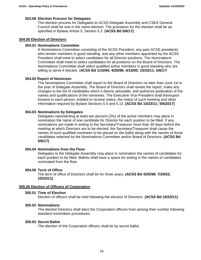#### **303.06 Election Process for Delegates**

The election process for Delegates to ACSS Delegate Assembly and CSEA General Council shall be one in the same election. The provisions for the election shall be as specified in Bylaws Article 5, Section 5.3. **(ACSS Bd 5/6/17)**

#### **304.00 Election of Directors**

#### **304.01 Nominations Committee**

A Nominations Committee consisting of the ACSS President, any past ACSS presidents who remain members in good standing, and any other members appointed by the ACSS President shall meet to select candidates for all Director positions. The Nominations Committee shall meet to select candidates for all positions on the Board of Directors. The Nominations Committee shall select qualified active members in good standing who are willing to serve if elected. (**ACSS Bd 1/15/94; 4/25/98; 4/15/00; 10/23/11; 5/6/17**)

#### **304.02 Report of Nominees**

The Nominations Committee shall report to the Board of Directors no later than June 1st in the year of Delegate Assembly. The Board of Directors shall review the report, make any changes to the list of candidates which it deems advisable, and authorize publication of the names and qualifications of the nominees. The Executive Vice-President shall thereupon forward to each person, entitled to receive notice, the notice of such meeting and other information required by Bylaws Sections 5.5 and 5.13. **(ACSS Bd 10/23/11; 5/6/2017)**

#### **304.03 Nominations by Delegates**

Delegates representing at least two percent (2%) of the active members may place in nomination the name of one candidate for Director for each position to be filled. If any nominations are made in writing to the Secretary/Treasurer more than 30 days before the meeting at which Directors are to be elected, the Secretary/Treasurer shall cause the names of such qualified nominees to be placed on the ballot along with the names of those candidates selected by the Nominations Committee and/or Board of Directors. **(ACSS Bd 5/6/17)**

#### **304.04 Nominations from the Floor**

Delegates to the Delegate Assembly may place in nomination the names of candidates for each position to be filled. Ballots shall have a space for writing in the names of candidates nominated from the floor.

#### **304.05 Term of Office**

The term of office of Directors shall be for three years**. (ACSS Bd 4/25/98; 7/20/02; 10/23/11)**

#### **305.00 Election of Officers of Corporation**

#### **305.01 Time of Election**

Election of officers shall be held following the election of Directors. **(ACSS Bd 10/23/11)**

#### **305.02 Nominations**

The elected Directors shall elect the Corporation officers from among their number following standard nomination procedures.

#### **305.03 Secret Ballot**

The election of the Corporation officers shall be by secret ballot.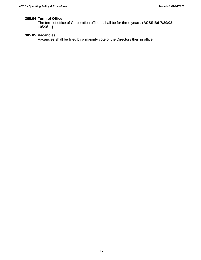#### **305.04 Term of Office**

The term of office of Corporation officers shall be for three years. **(ACSS Bd 7/20/02; 10/23/11)**

#### **305.05 Vacancies**

Vacancies shall be filled by a majority vote of the Directors then in office.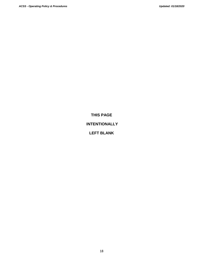**INTENTIONALLY**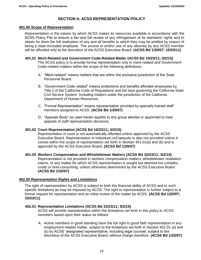## **SECTION 4: ACSS REPRESENTATION POLICY**

#### **401.00 Scope of Representation**

Representation is the means by which ACSS makes its resources available in accordance with the ACSS Policy File to ensure a fair and full review of any infringement of its members' rights and to obtain for them the full realization of any and all benefits to which they may be entitled by reason of being a state excluded employee. The access to and/or use of any attorney by any ACSS member will be afforded only at the discretion of the ACSS Executive Board. **(ACSS Bd 1/20/07; 10/23/11)**

- **401.01 Merit-Related and Government Code-Related Matter (ACSS Bd 10/23/11; 5/2/15)** The ACSS policy is to provide formal representation only in merit-related and Government Code-related matters within the scope of the following definitions:
	- A. "Merit-related" means matters that are within the exclusive jurisdiction of the State Personnel Board.
	- B. "Government-Code related" means protections and benefits afforded employees by Title 2 of the California Code of Regulations and the laws governing the California State Civil Service System. Including matters under the jurisdiction of the California Department of Human Resources.
	- C. "Formal Representation" means representation provided by specially trained staff members assigned to ACSS. **(ACSS Bd 1/20/07)**
	- D. "Appeals Body" as used herein applies to any group elected or appointed to hear appeals of staff representation decisions.

#### **401.02 Court Representation (ACSS Bd 10/23/11; 5/2/15)**

Representation in court is not automatically afforded unless approved by the ACSS Executive Board. Representation in individual civil lawsuits is also not provided unless it comes within the scope of representation set forth in Section 401.01(a) and (b) and is approved by the ACSS Executive Board. **(ACSS Bd 1/20/07)**

**401.03 Workers Compensation and Whistleblower Matters (ACSS Bd 10/23/11; 5/2/15)** Representation is not provided in workers compensation matters, whistleblower retaliation claims, or any matter for which ACSS representation is sought but deemed too complex, costly or time-consuming, unless otherwise determined by the ACSS Executive Board **(ACSS Bd 1/20/07)**

#### **402.00 Representation Rights and Limitations**

The right of representation by ACSS is subject to both the financial ability of ACSS and to such specific limitations as may be imposed by ACSS. The right to representation is further subject to a formal request for representation and an initial review of the matter by ACSS. **(ACSS Bd 1/20/07; 10/23/11)**

#### **402.01 Representation Limitations (ACSS Bd 10/23/11; 5/2/15)**

ACSS will provide representation within the limitations set forth in this policy to ACSS members based upon their status as follows:

A. Active members in good standing have the full right to good faith representation in any employment-related matter, subject to the limitations set forth in Section 401.01 (a) and (b) by ACSS' designated representative, including legal counsel, subject to the discretion of the ACSS Executive Board, without charge therefore. **(ACSS Bd 1/20/07)**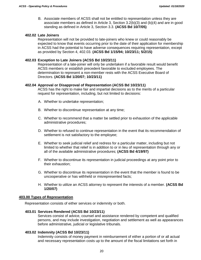B. Associate members of ACSS shall not be entitled to representation unless they are associate members as defined in Article 3, Section 3.2(b)(3) and (b)(4) and are in good standing as defined in Article 3, Section 3.3. **(ACSS Bd 10/7/05)**

#### **402.02 Late Joiners**

Representation will not be provided to late-joiners who knew or could reasonably be expected to know that events occurring prior to the date of their application for membership in ACSS had the potential to have adverse consequences requiring representation, except as provided by Section 4, 402.03. **(ACSS Bd 1/15/94; 10/23/11; 5/2/15)**

#### **402.03 Exception to Late Joiners (ACSS Bd 10/23/11)**

Representation of a late-joiner will only be undertaken if a favorable result would benefit ACSS members or establish precedent favorable to excluded employees. The determination to represent a non-member rests with the ACSS Executive Board of Directors. **(ACSS Bd 1/20/07; 10/23/11)**

#### **402.04 Approval or Disapproval of Representation (ACSS Bd 10/23/11)**

ACSS has the right to make fair and impartial decisions as to the merits of a particular request for representation, including, but not limited to decisions:

- A. Whether to undertake representation;
- B. Whether to discontinue representation at any time;
- C. Whether to recommend that a matter be settled prior to exhaustion of the applicable administrative procedures;
- D. Whether to refused to continue representation in the event that its recommendation of settlement is not satisfactory to the employee;
- E. Whether to seek judicial relief and redress for a particular matter, including but not limited to whether that relief is in addition to or in lieu of representation through any or all of the available administrative procedures; **(ACSS Bd 4/19/97)**
- F. Whether to discontinue its representation in judicial proceedings at any point prior to their exhaustion;
- G. Whether to discontinue its representation in the event that the member is found to be uncooperative or has withheld or misrepresented facts;
- H. Whether to utilize an ACSS attorney to represent the interests of a member. **(ACSS Bd 1/20/07)**

#### **403.00 Types of Representation**

Representation consists of either services or indemnity or both.

#### **403.01 Services Rendered (ACSS Bd 10/23/11)**

Services consist of advice, counsel and assistance rendered by competent and qualified persons, and may include investigation, negotiation and settlement as well as appearances before administrative, judicial or legislative tribunals.

#### **403.02 Indemnity (ACSS Bd 10/23/11)**

Indemnity consists of money payment in reimbursement of either a portion of or all actual and necessary representation costs up to the amount of the fiscal limitations set forth in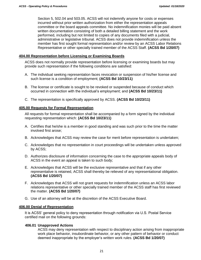Section 5, 502.04 and 503.05. ACSS will not indemnify anyone for costs or expenses incurred without prior written authorization from either the representation appeals committee or the board appeals committee. No indemnification monies will be paid absent written documentation consisting of both a detailed billing statement and the work performed, including but not limited to copies of any documents filed with a judicial, administrative or legislative tribunal. ACSS does not provide indemnification unless the member has first sought formal representation and/or review by an ACSS Labor Relations Representative or other specially trained member of the ACSS Staff. **(ACSS Bd 1/20/07)**

#### **404.00 Representation before Licensing or Examining Boards**

ACSS does not normally provide representation before licensing or examining boards but may provide such representation if the following conditions are satisfied:

- A. The individual seeking representation faces revocation or suspension of his/her license and such license is a condition of employment; **(ACSS Bd 10/23/11)**
- B. The license or certificate is sought to be revoked or suspended because of conduct which occurred in connection with the individual's employment; and **(ACSS Bd 10/23/11)**
- C. The representation is specifically approved by ACSS. **(ACSS Bd 10/23/11)**

#### **405.00 Requests for Formal Representation**

All requests for formal representation shall be accompanied by a form signed by the individual requesting representation which: **(ACSS Bd 10/23/11)**

- A. Certifies that he/she is a member in good standing and was such prior to the time the matter involved first arose;
- B. Acknowledges that ACSS may review the case for merit before representation is undertaken;
- C. Acknowledges that no representation in court proceedings will be undertaken unless approved by ACSS;
- D. Authorizes disclosure of information concerning the case to the appropriate appeals body of ACSS in the event an appeal is taken to such body;
- E. Acknowledges that ACSS will be the exclusive representative and that if any other representative is retained, ACSS shall thereby be relieved of any representational obligation. **(ACSS Bd 1/20/07)**
- F. Acknowledges that ACSS will not grant requests for indemnification unless an ACSS labor relations representative or other specially trained member of the ACSS staff has first reviewed the matter. **(ACSS Bd 1/20/07)**
- G. Use of an attorney will be at the discretion of the ACSS Executive Board.

#### **406.00 Denial of Representation**

It is ACSS' general policy to deny representation through notification via U.S. Postal Service certified mail on the following grounds:

#### **406.01 Unapproved Actions**

ACSS may deny representation with respect to disciplinary action arising from inappropriate work place behavior, insubordinate behavior, or any other pattern of behavior or conduct deemed inappropriate by the employer's written work rules. **(ACSS Bd 1/20/07)**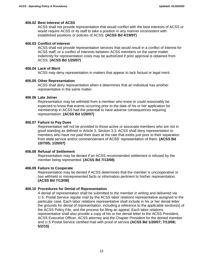#### **406.02 Best Interest of ACSS**

ACSS shall not provide representation that would conflict with the best interests of ACSS or would require ACSS or its staff to take a position in any manner inconsistent with established positions or policies of ACSS. **(ACSS Bd 4/19/97)**

#### **406.03 Conflict of Interest**

ACSS shall not provide representation services that would result in a conflict of interest for ACSS staff, or a conflict of interests between ACSS members on the same matter. Indemnity for representation costs may be authorized if prior approval is obtained from ACSS. **(ACSS Bd 1/20/07)**

#### **406.04 Lack of Merit**

ACSS may deny representation in matters that appear to lack factual or legal merit.

#### **406.05 Other Representation**

ACSS shall deny representation when it determines that an individual has another representative in the same matter.

#### **406**.**06 Late Joiner**

Representation may be withheld from a member who knew or could reasonably be expected to know that events occurring prior to the date of his or her application for membership in ACSS had the potential to have adverse consequences requiring representation. **(ACSS Bd 1/20/07)**

#### **406.07 Failure to Pay Dues**

Representation will not be provided to those active or associate members who are not in good standing as defined in Article 3, Section 3.3. ACSS shall deny representation to members who have not paid their dues at the rate that exists just prior to their separation from state service and/or commencement of ACSS' representation of them. **(ACSS Bd 10/7/05; 1/20/07)**

#### **406.08 Refusal of Settlement**

Representation may be denied if an ACSS recommended settlement is refused by the member being represented. **(ACSS Bd 7/13/08)**

#### **406.09 Failure to Cooperate**

Representation may be denied if ACSS determines that the member is uncooperative or has withheld or misrepresented facts or information pertinent to his/her representation. **(ACSS Bd 7/13/08)**

#### **406.10 Procedures for Denial of Representation**

A denial of representation shall be submitted to the member in writing and delivered via U.S. Postal Service regular mail by the ACSS labor relations representative assigned to the particular case. Each labor relations representative shall include in his or her denial letter the grounds for denial of representation, including a reference to the applicable section(s) of the ACSS Policy File, and the process for filing an appeal. Each labor relations representative shall also provide a copy of his or her denial letter to the ACSS President, ACSS Executive Officer, ACSS attorney and the Chapter President for the denied member and U.S Postal Service certified mail with proof of service **(ACSS Bd 1/20/07; 7/13/08; 5/2/15)**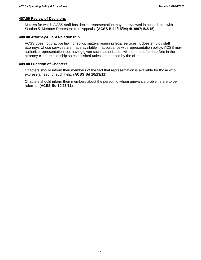#### **407.00 Review of Decisions**

Matters for which ACSS staff has denied representation may be reviewed in accordance with Section 5: Member Representation Appeals. (**ACSS Bd 1/15/94; 4/19/97; 5/2/15**)

#### **408.00 Attorney-Client Relationship**

ACSS does not practice law nor solicit matters requiring legal services. It does employ staff attorneys whose services are made available in accordance with representation policy. ACSS may authorize representation, but having given such authorization will not thereafter interfere in the attorney-client relationship so established unless authorized by the client.

#### **409.00 Function of Chapters**

Chapters should inform their members of the fact that representation is available for those who express a need for such help. **(ACSS Bd 10/23/11)**

Chapters should inform their members about the person to whom grievance problems are to be referred. **(ACSS Bd 10/23/11)**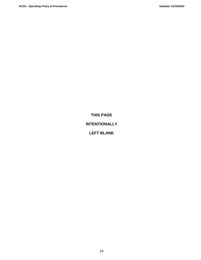**INTENTIONALLY**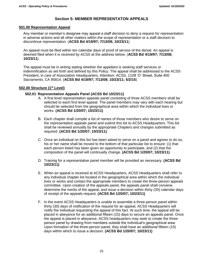## **Section 5: MEMBER REPRESENTATON APPEALS**

#### **501.00 Representation Appeal**

Any member or member's designee may appeal a staff decision to deny a request for representation in adverse actions and all other matters within the scope of representation or a staff decision to discontinue representation. (**ACSS Bd 4/19/97; 7/13/08; 10/23/11**)

An appeal must be filed within ten calendar days of proof of service of the denial. An appeal is deemed filed when it is received by ACSS at the address below. (**ACSS Bd 4/19/97; 7/13/08; 10/23/11**)

The appeal must be in writing stating whether the appellant is seeking staff services or indemnification as set forth and defined by this Policy. The appeal shall be addressed to the ACSS President, in care of Association Headquarters, Attention: ACSS, 1108 'O' Street, Suite 400 Sacramento, CA 95814. (**ACSS Bd 4/19/97; 7/13/08; 10/23/11; 5/2/15**)

#### **502.00 Structure (1st Level)**

#### **502.01 Representation Appeals Panel (ACSS Bd 10/23/11)**

- A. A first level representation appeals panel consisting of three ACSS members shall be selected to each first level appeal. The panel members may vary with each hearing but should be selected from the geographical area within which the individual lives or works. **(ACSS Bd 1/20/07; 10/23/11)**
- B. Each chapter shall compile a list of names of those members who desire to serve on the representation appeals panel and submit this list to ACSS Headquarters. This list shall be reviewed annually by the appropriate Chapters and changes submitted as required. **(ACSS Bd 1/20/07; 10/23/11)**
- C. Once an individual on this list has been asked to serve on a panel and agrees to do so, his or her name shall be moved to the bottom of that particular list to ensure: (1) that each person listed has been given an opportunity to participate, and (2) that the composition of the panel will continually change. **(ACSS Bd 1/20/07; 10/23/11)**
- D. Training for a representative panel member will be provided as necessary. **(ACSS Bd 10/23/11)**
- E. When an appeal is received at ACSS Headquarters, ACSS Headquarters shall refer to any individual chapter list located in the geographical area within which the individual lives or works and contact the appropriate members to create the three-person appeals committee. Upon creation of the appeals panel, the appeals panel shall convene, determine the merits of the appeal, and issue a decision within thirty (30) calendar days of receipt of the appeals request. **(ACSS Bd 1/20/07; 10/23/11)**
- F. In the event ACSS Headquarters is unable to assemble a three-person panel within thirty (30) days of notification of the request for an appeal, ACSS Headquarters will notify the individual requesting the appeal of this fact. At such time, the appeal will be placed in abeyance for an additional fifteen (15) days to secure an appeals panel. Once the appeal is placed in abeyance, ACSS headquarters may seek to create the threeperson panel by drawing from members outside the individual's geographical area. Upon formation of the three-person panel, they shall have an additional fifteen (15) days within which to issue a decision. **(ACSS Bd 1/20/07; 10/23/11)**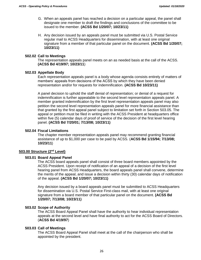- G. When an appeals panel has reached a decision on a particular appeal, the panel shall designate one member to draft the findings and conclusions of the committee to be issued to the member. **(ACSS Bd 1/20/07; 10/23/11)**
- H. Any decision issued by an appeals panel must be submitted via U.S. Postal Service regular mail to ACSS Headquarters for dissemination, with at least one original signature from a member of that particular panel on the document. **(ACSS Bd 1/20/07; 10/23/11)**

#### **502.02 Call to Meetings**

The representation appeals panel meets on an as needed basis at the call of the ACSS. **(ACSS Bd 4/19/97; 10/23/11**)

#### **502.03 Appellate Body**

Each representation appeals panel is a body whose agenda consists entirely of matters of members' appeals from decisions of the ACSS by which they have been denied representation and/or for requests for indemnification. **(ACSS Bd 10/23/11)**

A panel decision to uphold the staff denial of representation; or denial of a request for indemnification is further appealable to the second level representation appeals panel. A member granted indemnification by the first level representation appeals panel may also petition the second level representation appeals panel for more financial assistance than that granted by the first appeal panel subject to limitation set forth in Section 503.05. The appeal or petition must be filed in writing with the ACSS President at headquarters office within five (5) calendar days of proof of service of the decision of the first level hearing panel. **(ACSS Bd 7/20/01; 7/13/08; 10/23/11)**

#### **502.04 Fiscal Limitations**

The chapter member representation appeals panel may recommend granting financial assistance of up to \$1,000 per case to be paid by ACSS. (**ACSS Bd 1/15/94; 7/13/08; 10/23/11**)

#### **503.00 Structure (2nd Level)**

#### **503.01 Board Appeal Panel**

The ACSS board appeals panel shall consist of three board members appointed by the ACSS President. Upon receipt of notification of an appeal of a decision of the first level hearing panel from ACSS Headquarters, the board appeals panel shall convene, determine the merits of the appeal, and issue a decision within thirty (30) calendar days of notification of the appeal. **(ACSS Bd 1/20/07; 10/23/11)**

Any decision issued by a board appeals panel must be submitted to ACSS Headquarters for dissemination via U.S. Postal Service First-class mail, with at least one original signature from a board member of that particular panel on the document. **(ACSS Bd 1/20/07; 7/13/08; 10/23/11)**

#### **503.02 Scope of Authority**

The ACSS Board Appeal Panel shall have the authority to hear individual representation appeals at the second level and have final authority to act for the ACSS Board of Directors. (**ACSS Bd 4/19/97**)

#### **503.03 Call of Meetings**

The ACSS Board Appeal Panel shall meet at the call of the chairperson who shall be appointed by the president.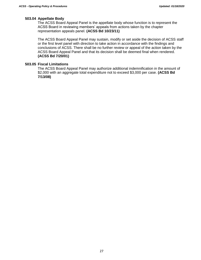#### **503.04 Appellate Body**

The ACSS Board Appeal Panel is the appellate body whose function is to represent the ACSS Board in reviewing members' appeals from actions taken by the chapter representation appeals panel. **(ACSS Bd 10/23/11)**

The ACSS Board Appeal Panel may sustain, modify or set aside the decision of ACSS staff or the first level panel with direction to take action in accordance with the findings and conclusions of ACSS. There shall be no further review or appeal of the action taken by the ACSS Board Appeal Panel and that its decision shall be deemed final when rendered. **(ACSS Bd 7/20/01)**

#### **503.05 Fiscal Limitations**

The ACSS Board Appeal Panel may authorize additional indemnification in the amount of \$2,000 with an aggregate total expenditure not to exceed \$3,000 per case. **(ACSS Bd 7/13/08)**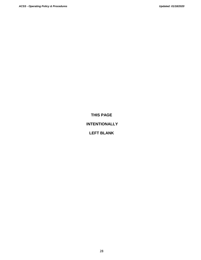**INTENTIONALLY**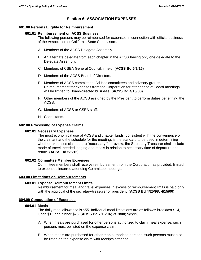## **Section 6: ASSOCIATION EXPENSES**

#### **601.00 Persons Eligible for Reimbursement**

#### **601.01 Reimbursement on ACSS Business**

The following persons may be reimbursed for expenses in connection with official business of the Association of California State Supervisors.

- A. Members of the ACSS Delegate Assembly.
- B. An alternate delegate from each chapter in the ACSS having only one delegate to the Delegate Assembly.
- C. Members of CSEA General Council, if held. **(ACSS Bd 5/2/15)**
- D. Members of the ACSS Board of Directors.
- E. Members of ACSS committees, Ad Hoc committees and advisory groups. Reimbursement for expenses from the Corporation for attendance at Board meetings will be limited to Board-directed business. **(ACSS Bd 4/15/00)**
- F. Other members of the ACSS assigned by the President to perform duties benefitting the ACSS.
- G. Members of ACSS or CSEA staff.
- H. Consultants.

#### **602.00 Processing of Expense Claims**

#### **602.01 Necessary Expenses**

The most economical use of ACSS and chapter funds, consistent with the convenience of the claimant and the schedule for the meeting, is the standard to be used in determining whether expenses claimed are "necessary." In review, the Secretary/Treasurer shall include mode of travel, needed lodging and meals in relation to necessary time of departure and return. **(ACSS Bd 5/2/15)**

#### **602.02 Committee Member Expenses**

Committee members shall receive reimbursement from the Corporation as provided, limited to expenses incurred attending Committee meetings.

#### **603.00 Limitations on Reimbursements**

#### **603.01 Expense Reimbursement Limits**

Reimbursement for meal and travel expenses in excess of reimbursement limits is paid only with the approval of the secretary-treasurer or president. (**ACSS Bd 4/25/98; 4/15/00**)

#### **604.00 Computation of Expenses**

#### **604.01 Meals**

The daily meal allowance is \$55. Individual meal limitations are as follows: breakfast \$14, lunch \$16 and dinner \$25. (**ACSS Bd 7/16/94; 7/13/08; 5/2/15**)

- A. When meals are purchased for other persons authorized to claim meal expense, such persons must be listed on the expense claim.
- B. When meals are purchased for other than authorized persons, such persons must also be listed on the expense claim with receipts attached.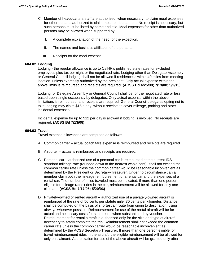- C. Member of headquarters staff are authorized, when necessary, to claim meal expenses for other persons authorized to claim meal reimbursement. No receipt is necessary, but such persons must be listed by name and title. Meal expenses for other than authorized persons may be allowed when supported by:
	- I. A complete explanation of the need for the exception.
	- II. The names and business affiliation of the persons.
	- III. Receipts for the meal expense.

#### **604.02 Lodging**

Lodging - the regular allowance is up to CalHR's published state rates for excluded employees plus tax per night or the negotiated rate. Lodging other than Delegate Assembly or General Council lodging shall not be allowed if residence is within 40 miles from meeting location, unless expressly authorized by the president. Only actual expense within the above limits is reimbursed and receipts are required. **(ACSS Bd 4/25/98; 7/13/08; 5/2/15)**

Lodging for Delegate Assembly or General Council shall be for the negotiated rate or less, based upon single occupancy by delegates. Only actual expense within the above limitations is reimbursed, and receipts are required. General Council delegates opting not to take lodging may claim \$15 a day, without receipts to cover mileage, parking and other incidental expenses.

Incidental expense for up to \$12 per day is allowed if lodging is involved. No receipts are required. **(ACSS Bd 7/13/08)**

#### **604.03 Travel**

Travel expense allowances are computed as follows:

- A. Common carrier actual coach fare expense is reimbursed and receipts are required.
- B. Airporter actual is reimbursed and receipts are required.
- C. Personal car authorized use of a personal car is reimbursed at the current IRS standard mileage rate (rounded down to the nearest whole cent), shall not exceed the common carrier rate unless the common carrier would be reasonable inconvenient as determined by the President or Secretary-Treasurer. Under no circumstance can a member claim both the mileage reimbursement of a rental car and the expenses of a rental car. The number of miles traveled must be indicated; if more than one person eligible for mileage rates rides in the car, reimbursement will be allowed for only one claimant. **(ACSS Bd 7/17/05; 5/20/06)**
- D. Privately-owned or rented aircraft authorized use of a privately-owned aircraft is reimbursed at the rate of 50 cents per statute mile, 30 cents per kilometer. Distance shall be computed on the basis of shortest air route from origin to destination, using airways wherever possible. Reimbursement for use of the rental aircraft will be for actual and necessary costs for such rental when substantiated by voucher. Reimbursement for rental aircraft is authorized only for the size and type of aircraft necessary to safely complete the trip. Reimbursement shall not exceed the common carrier rate unless the common carrier would be reasonable inconvenient as determined by the ACSS Secretary-Treasurer. If more than one person eligible for travel reimbursement rides in the aircraft, the eligible reimbursement will be allowed for only on claimant. Authorization for use of the above aircraft will be granted only after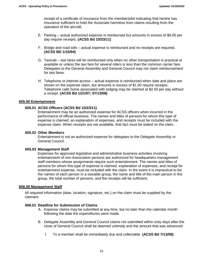receipt of a certificate of insurance from the member/pilot indicating that he/she has insurance sufficient to hold the Associate harmless from claims resulting from the operation of the aircraft.

- E. Parking actual authorized expense is reimbursed but amounts in excess of \$9.00 per day require receipts. **(ACSS Bd 10/23/11)**
- F. Bridge and road tolls actual expense is reimbursed and no receipts are required. **(ACSS BD 1/15/94)**
- G. Taxicab taxi fares will be reimbursed only when no other transportation is practical or available or unless the taxi fare for several riders is less than the common carrier fare. Delegates to the General Assembly and General Council may not claim reimbursement for taxi fares.
- H. Telephone or internet access actual expense is reimbursed when date and place are shown on the expense claim, but amounts in excess of \$1.00 require receipts. Telephone calls home associated with lodging may be claimed at \$2.50 per day without a receipt. **(ACSS Bd 1/21/07; 07/13/08)**

#### **605.00 Entertainment**

#### **605.01 ACSS Officers (ACSS Bd 10/23/11)**

Entertainment may be an authorized expense for ACSS officers when incurred in the performance of official business. The names and titles of persons for whom this type of expense is claimed, an explanation of expenses, and receipts must be included with the expense claim. When receipts are not available, that fact must be stated on the claim.

#### **605.02 Other Members**

Entertainment is not an authorized expense for delegates to the Delegate Assembly or General Council.

#### **605.03 Management Staff**

Expenses for approved legislative and administrative business activities involving entertainment of non-Association persons are authorized for headquarters management staff members whose assignments require such entertainment. The names and titles of persons for whom this type of expense is claimed, explanation of expenses, and receipt for entertainment expense, must be included with the claim. In the event it is impractical to list the names of each person in a sizeable group, the name and title of the main person in the group, the total number of persons, and the receipts will be sufficient.

#### **606.00 Management Staff**

All required information (date, location, signature, etc.) on the claim must be supplied by the claimant.

#### **606.01 Deadline for Submission of Claims**

- A. Expense claims may be submitted at any time, but no later than the calendar month following the date the expenditures were made.
- B. Delegate Assembly and General Council claims not submitted within sixty days after the close of General Council shall be deemed untimely and the amount that was advanced:
	- I. To a member shall be immediately due and collectable. **(ACSS Bd 7/13/08)**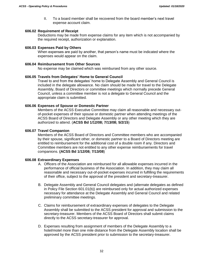II. To a board member shall be recovered from the board member's next travel expense account claim.

#### **606.02 Requirement of Receipt**

Deductions may be made from expense claims for any item which is not accompanied by the required receipt, authorization or explanation.

#### **606.03 Expenses Paid by Others**

When expenses are paid by another, that person's name must be indicated where the expenses would appear on the claim.

#### **606.04 Reimbursement from Other Sources**

No expense may be claimed which was reimbursed from any other source.

#### **606.05 Travels from Delegates' Home to General Council**

Travel to and from the delegates' home to Delegate Assembly and General Council is included in the delegate allowance. No claim should be made for travel to the Delegate Assembly, Board of Directors or committee meetings which normally precede General Council, unless a committee member is not a delegate to General Council and the appropriate claim is submitted.

#### **606.06 Expenses of Spouse or Domestic Partner**

Members of the ACSS Executive Committee may claim all reasonable and necessary outof-pocket expenses of their spouse or domestic partner when attending meetings of the ACSS Board of Directors and Delegate Assembly or any other meeting which they are authorized to attend. (**ACSS Bd 1/12/08; 7/13/08; 5/2/15**)

#### **606.07 Travel Companion**

Members of the ACSS Board of Directors and Committee members who are accompanied by their spouse, significant other, or domestic partner to a Board of Directors meeting are entitled to reimbursement for the additional cost of a double room if any. Directors and Committee members are not entitled to any other expense reimbursements for travel companions. **(ACSS Bd 1/12/08; 7/13/08**)

#### **606.08 Extraordinary Expenses**

- A. Officers of the Association are reimbursed for all allowable expenses incurred in the performance of official business of the Association. In addition, they may claim all reasonable and necessary out-of-pocket expenses incurred in fulfilling the requirements of their office, subject to the approval of the president and secretary-treasurer.
- B. Delegate Assembly and General Council delegates and (alternate delegates as defined in Policy File Section 601.01(b)) are reimbursed only for actual authorized expenses necessary for attendance at the Delegate Assembly and General Council and related preliminary committee meetings.
- C. Claims for reimbursement of extraordinary expenses of delegates to the Delegate Assembly shall be submitted to the ACSS president for approval and submission to the secretary-treasurer. Members of the ACSS Board of Directors shall submit claims directly to the ACSS secretary-treasurer for approval.
- D. Expenses resulting from assignment of members of the Delegate Assembly to a hotel/motel more than one mile distance from the Delegate Assembly location shall be approved by the ACSS president prior to submission to the secretary-treasurer.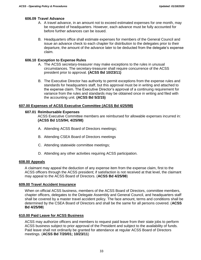#### **606.09 Travel Advance**

- A. A travel advance, in an amount not to exceed estimated expenses for one month, may be requested of headquarters. However, each advance must be fully accounted for before further advances can be issued.
- B. Headquarters office shall estimate expenses for members of the General Council and issue an advance check to each chapter for distribution to the delegates prior to their departure, the amount of the advance later to be deducted from the delegate's expense claim.

#### **606.10 Exception to Expense Rules**

- A. The ACSS secretary-treasurer may make exceptions to the rules in unusual circumstances. The secretary-treasurer shall require concurrence of the ACSS president prior to approval. **(ACSS Bd 10/23/11)**
- B. The Executive Director has authority to permit exceptions from the expense rules and standards for headquarters staff, but this approval must be in writing and attached to the expense claim. The Executive Director's approval of a continuing requirement for variance from the rules and standards may be obtained once in writing and filed with the accounting unit. **(ACSS Bd 5/2/15)**

#### **607.00 Expenses of ACSS Executive Committee (ACSS Bd 4/25/98)**

#### **607.01 Reimbursable Expenses**

ACSS Executive Committee members are reimbursed for allowable expenses incurred in: **(ACSS Bd 1/15/94; 4/25/98)**

- A. Attending ACSS Board of Directors meetings;
- B. Attending CSEA Board of Directors meetings
- C. Attending statewide committee meetings;
- D. Attending any other activities requiring ACSS participation.

#### **608.00 Appeals**

A claimant may appeal the deduction of any expense item from the expense claim, first to the ACSS officers through the ACSS president; if satisfaction is not received at that level, the claimant may appeal to the ACSS Board of Directors. (**ACSS Bd 4/25/98**)

#### **609.00 Travel Accident Insurance**

When on official ACSS business, members of the ACSS Board of Directors, committee members, chapter officers, delegates to the Delegate Assembly and General Council, and headquarters staff shall be covered by a master travel accident policy. The face amount, terms and conditions shall be determined by the CSEA Board of Directors and shall be the same for all persons covered. (**ACSS Bd 4/25/98**)

#### **610.00 Paid Leave for ACSS Business**

ACSS may authorize officers and members to request paid leave from their state jobs to perform ACSS business subject to prior approval of the President and subject to the availability of funds. Paid leave shall not ordinarily be granted for attendance at regular ACSS Board of Directors meetings. (**ACSS Bd 7/20/01; 10/23/11**)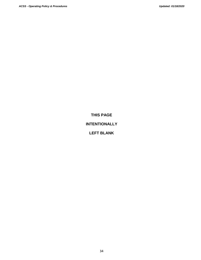**INTENTIONALLY**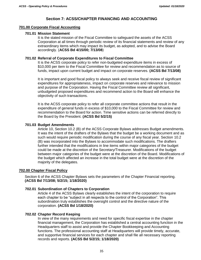## **Section 7: ACSS/CHAPTER FINANCING AND ACCOUNTING**

#### **701.00 Corporate Fiscal Accounting**

#### **701.01 Mission Statement**

It is the stated mission of the Fiscal Committee to safeguard the assets of the ACSS Corporation at all times through periodic review of its financial statements and review of any extraordinary items which may impact its budget, as adopted, and to advise the Board accordingly. (**ACSS Bd 4/15/00; 7/13/08**)

#### **701.02 Referral of Corporate Expenditures to Fiscal Committee**

It is the ACSS corporate policy to refer non-budgeted expenditure items in excess of \$10,000 per item to the Fiscal Committee for review and recommendation as to source of funds, impact upon current budget and impact on corporate reserves. **(ACSS Bd 7/13/08)**

It is important and good fiscal policy to always seek and receive fiscal review of significant expenditures for appropriateness, impact on corporate reserves and relevance to mission and purpose of the Corporation. Having the Fiscal Committee review all significant, unbudgeted proposed expenditures and recommend action to the Board will enhance the objectivity of such transactions.

It is the ACSS corporate policy to refer all corporate committee actions that result in the expenditure of general funds in excess of \$10,000 to the Fiscal Committee for review and recommendation to the Board for action. Time sensitive actions can be referred directly to the Board by the President. **(ACSS Bd 5/2/15)**

#### **701.03 Budget Amendments**

Article 10, Section 10.2 (B) of the ACSS Corporate Bylaws addresses Budget amendments. It was the intent of the drafters of the Bylaws that the budget be a working document and as such would require periodic modification during the course of any fiscal year. Section 10.2 (B) was incorporated into the Bylaws to accommodate such modifications. The drafters further intended that the modifications in line items within major categories of the budget could be made at the discretion of the Secretary/Treasurer. Modifications of the budget between major categories of the budget were at the discretion of the Board. Modifications of the budget which affected an increase in the total budget were at the discretion of the majority of the delegates.

#### **702.00 Chapter Fiscal Policy**

Section 6 of the ACSS Chapter Bylaws sets the parameters of the Chapter Financial reporting. **(ACSS Bd 7/13/08; 5/2/15; 1/18/2020)**

#### **702.01 Subordination of Chapters to Corporation**

Article 4 of the ACSS Bylaws clearly establishes the intent of the corporation to require each chapter to be "subject in all respects to the control of the Corporation". This subordination truly establishes the oversight control and the directive nature of the corporation. **(ACSS Bd 1/18/2020)**

#### **702.02 Chapter Record Keeping**

In view of the many requirements and need for specific fiscal expertise in the chapter financial management, the Corporation has established a central accounting function in the Headquarters staff to assist and provide the Chapter Bookkeeping and Accounting functions. The professional accounting staff at Headquarters will provide timely, accurate, and supportive financial services for each chapter and shall file all necessary reporting records and reports. **(ACSS Bd 5/2/15; 1/18/2020)**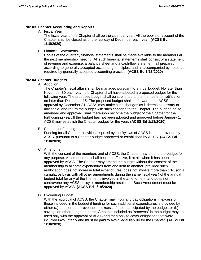## **702.03 Chapter Accounting and Reports**

A. Fiscal Year

The fiscal year of the Chapter shall be the calendar year. All the books of account of the Chapter shall be closed as of the last day of December each year. **(ACSS Bd 1/18/2020)**

B. Financial Statements

Copies of the quarterly financial statements shall be made available to the members at the next membership meeting. All such financial statements shall consist of a statement of revenue and expense, a balance sheet and a cash-flow statement, all prepared according to generally accepted accounting principles, and all accompanied by notes as required by generally accepted accounting practice. **(ACSS Bd 1/18/2020)**

## **702.04 Chapter Budgets**

A. Adoption

The Chapter's fiscal affairs shall be managed pursuant to annual budget. No later than November 30 each year, the Chapter shall have adopted a proposed budget for the following year. The proposed budget shall be submitted to the members for ratification no later than December 15. The proposed budget shall be forwarded to ACSS for approval by December 31. ACSS may make such changes as it deems necessary or advisable, and return the budget with such changes to the Chapter. The budget, as so amended and approved, shall thereupon become the budget of the Chapter for the forthcoming year. If the budget has not been adopted and approved before January 1, ACSS may establish the Chapter budget for the year. **(ACSS Bd 1/18/2020)**

B. Sources of Funding

Funding for all Chapter activities required by the Bylaws of ACSS is to be provided by ACSS, pursuant to a Chapter budget approved or established by ACSS. **(ACSS Bd 1/18/2020)**

C. Amendment

With the consent of the members and of ACSS, the Chapter may amend the budget for any purpose. An amendment shall become effective, it at all, when it has been approved by ACSS. The Chapter may amend the budget without the consent of the membership to allocate expenditures from one item to another, provided such reallocation does not increase total expenditures, does not involve more than 10% (on a cumulative basis with all other amendments during the same fiscal year) of the annual budget total for any of the line items involved in the amendment, and does not contravene any ACSS policy or membership resolution. Such Amendment must be approved by ACSS. **(ACSS Bd 1/18/2020)**

D. Exceeding Budget

With the approval of ACSS, the Chapter may incur and pay obligations in excess of those included in the budget if funding for such additional expenditures is provided by either (a) dues or other revenues in excess of those anticipated by the budget; or (b) savings on other budgeted items. Amounts included as "reserves" in the budget may be used only with the approval of ACSS and then only to cover obligations that were incurred involuntarily and must be paid to avoid legal liability for the Chapter. **(ACSS Bd 1/18/2020)**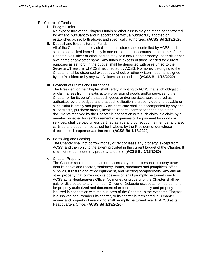## E. Control of Funds

I. Budget Limits

No expenditure of the Chapters funds or other assets may be made or contracted for except, pursuant to and in accordance with, a budget duly adopted or established as set forth above, and specifically authorized. **(ACSS Bd 1/18/2020)**

- II. Deposit and Expenditure of Funds All of the Chapter's money shall be administered and controlled by ACSS and shall be deposited immediately in one or more bank accounts in the name of the Chapter. No Officer or other person may hold any Chapter money under his or her own name or any other name. Any funds in excess of those needed for current purposes as set forth in the budget shall be deposited with or returned to the Secretary/Treasurer of ACSS, as directed by ACSS. No money belonging to the Chapter shall be disbursed except by a check or other written instrument signed by the President or by any two Officers so authorized. **(ACSS Bd 1/18/2020)**
- III. Payment of Claims and Obligations

The President or the Chapter shall certify in writing to ACSS that such obligation or claim arises from the satisfactory provision of goods and/or services to the Chapter or for its benefit; that such goods and/or services were ordered as authorized by the budget; and that such obligation is properly due and payable or such claim is timely and proper. Such certificate shall be accompanied by any and all contracts, purchase orders, invoices, reports, correspondence and other documents received by the Chapter in connection with such claim. No claim by a member, whether for reimbursement of expenses or for payment for goods or services, shall be paid unless certified as true and correct by the member and also certified and documented as set forth above by the President under whose direction such expense was incurred. **(ACSS Bd 1/18/2020)**

IV. Borrowing and Leasing

The Chapter shall not borrow money or rent or lease any property, except from ACSS, and then only to the extent provided in the current budget of the Chapter. It shall not rent or lease any property to others. **(ACSS Bd 1/18/2020)**

V. Chapter Property

The Chapter shall not purchase or possess any real or personal property other than its books and records, stationery, forms, brochures and pamphlets, office supplies, furniture and office equipment, and meeting paraphernalia. Any and all other property that comes into its possession shall promptly be turned over to ACSS at its Headquarters Office. No money or property of the Chapter shall be paid or distributed to any member, Officer or Delegate except as reimbursement for properly authorized and documented expenses reasonably and properly incurred in connection with the business of the Chapter. In the event the Chapter is dissolved or surrenders its charter, or its charter is terminated, all Chapter money and property of every kind shall promptly be turned over to ACSS at its Headquarters Office. **(ACSS Bd 1/18/2020)**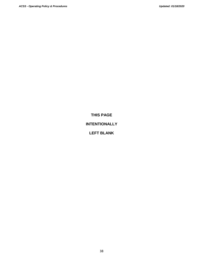**INTENTIONALLY**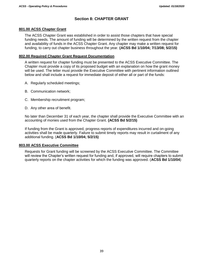## **Section 8: CHAPTER GRANT**

#### **801.00 ACSS Chapter Grant**

The ACSS Chapter Grant was established in order to assist those chapters that have special funding needs. The amount of funding will be determined by the written request from the chapter and availability of funds in the ACSS Chapter Grant. Any chapter may make a written request for funding, to carry out chapter business throughout the year. **(ACSS Bd 1/10/04; 7/13/08; 5/2/15)**

#### **802.00 Required Chapter Grant Request Documentation**

A written request for chapter funding must be presented to the ACSS Executive Committee. The Chapter must provide a copy of its proposed budget with an explanation on how the grant money will be used. The letter must provide the Executive Committee with pertinent information outlined below and shall include a request for immediate deposit of either all or part of the funds:

- A. Regularly scheduled meetings;
- B. Communication network;
- C. Membership recruitment program;
- D. Any other area of benefit.

No later than December 31 of each year, the chapter shall provide the Executive Committee with an accounting of monies used from the Chapter Grant. **(ACSS Bd 5/2/15)**

If funding from the Grant is approved, progress reports of expenditures incurred and on-going activities shall be made quarterly. Failure to submit timely reports may result in curtailment of any additional funding. (**ACSS Bd 1/10/04; 5/2/15)**

#### **803.00 ACSS Executive Committee**

Requests for Grant funding will be screened by the ACSS Executive Committee. The Committee will review the Chapter's written request for funding and, if approved, will require chapters to submit quarterly reports on the chapter activities for which the funding was approved. (**ACSS Bd 1/10/04**)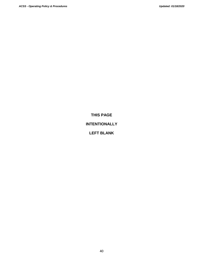**INTENTIONALLY**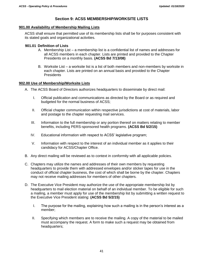## **Section 9: ACSS MEMBERSHIP/WORKSITE LISTS**

#### **901.00 Availability of Membership Mailing Lists**

ACSS shall ensure that permitted use of its membership lists shall be for purposes consistent with its stated goals and organizational activities.

#### **901.01 Definition of Lists**

- A. Membership List a membership list is a confidential list of names and addresses for all ACSS members in each chapter. Lists are printed and provided to the Chapter Presidents on a monthly basis. **(ACSS Bd 7/13/08)**
- B. Worksite List a worksite list is a list of both members and non-members by worksite in each chapter. Lists are printed on an annual basis and provided to the Chapter **Presidents**

#### **902.00 Use of Membership/Worksite Lists**

- A. The ACSS Board of Directors authorizes headquarters to disseminate by direct mail:
	- I. Official publication and communications as directed by the Board or as required and budgeted for the normal business of ACSS;
	- II. Official chapter communication within respective jurisdictions at cost of materials, labor and postage to the chapter requesting mail services.
	- III. Information to the full membership or any portion thereof on matters relating to member benefits, including PERS-sponsored health programs. **(ACSS Bd 5/2/15)**
	- IV. Educational information with respect to ACSS' legislative program;
	- V. Information with respect to the interest of an individual member as it applies to their candidacy for ACSS/Chapter Office.
- B. Any direct mailing will be reviewed as to context in conformity with all applicable policies.
- C. Chapters may utilize the names and addresses of their own members by requesting headquarters to provide them with addressed envelopes and/or sticker tapes for use in the conduct of official chapter business, the cost of which shall be borne by the chapter. Chapters may not receive mailing addresses for members of other chapters.
- D. The Executive Vice President may authorize the use of the appropriate membership list by headquarters to mail election material on behalf of an individual member. To be eligible for such a mailing, a member must apply for use of the membership list by submitting a written request to the Executive Vice President stating: **(ACSS Bd 5/2/15)**
	- I. The purpose for the mailing, explaining how such a mailing is in the person's interest as a member;
	- II. Specifying which members are to receive the mailing. A copy of the material to be mailed must accompany the request. A form to make such a request may be obtained from headquarters;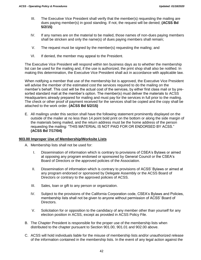- III. The Executive Vice President shall verify that the member(s) requesting the mailing are dues paying member(s) in good standing. If not, the request will be denied; **(ACSS Bd 5/2/15)**
- IV. If any names are on the material to be mailed, those names of non-dues paying members shall be stricken and only the name(s) of dues paying members shall remain;
- V. The request must be signed by the member(s) requesting the mailing; and
- VI. If denied, the member may appeal to the President.

The Executive Vice President will respond within ten business days as to whether the membership list can be used for the mailing and, if the use is authorized, the print shop shall also be notified. In making this determination, the Executive Vice President shall act in accordance with applicable law.

When notifying a member that use of the membership list is approved, the Executive Vice President will advise the member of the estimated cost the services required to do the mailing on the member's behalf. This cost will be the actual cost of the services, by either first class mail or by presorted standard mail at the member's option. The member(s) must deliver the materials to ACSS Headquarters already prepared for mailing and must pay for the services in full prior to the mailing. The check or other proof of payment received for the services shall be copied and the copy shall be attached to the work order. **(ACSS Bd 5/2/15)**

E. All mailings under this section shall have the following statement prominently displayed on the outside of the mailer at no less than 14 point bold print on the bottom or along the side margin of the materials being mailed, and the return address must be the home address of the person requesting the mailing: "THIS MATERIAL IS NOT PAID FOR OR ENDORSED BY ACSS." **(ACSS Bd 7/17/04)**

#### **903.00 Improper Use of Membership/Worksite Lists**

- A. Membership lists shall not be used for:
	- I. Dissemination of information which is contrary to provisions of CSEA's Bylaws or aimed at opposing any program endorsed or sponsored by General Council or the CSEA's Board of Directors or the approved policies of the Association.
	- II. Dissemination of information which is contrary to provisions of ACSS' Bylaws or aimed at any program endorsed or sponsored by Delegate Assembly or the ACSS Board of Directors or contrary to the approved policies of ACSS.
	- III. Sales, loan or gift to any person or organization.
	- IV. Subject to the provisions of the California Corporation code, CSEA's Bylaws and Policies, membership lists shall not be given to anyone without permission of ACSS' Board of Directors.
	- V. Solicitation for or opposition to the candidacy of any member other than yourself for any election position in ACSS, except as provided in ACSS Policy File.
- B. The Chapter President is responsible for the proper use of the membership lists when distributed to the chapter pursuant to Section 901.00, 901.01 and 902.00 above.
- C. ACSS will hold individuals liable for the misuse of membership lists and/or unauthorized release of the information contained in the membership lists. In the event of any legal action against the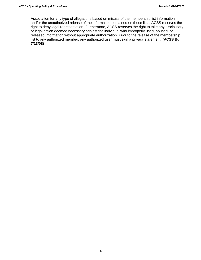Association for any type of allegations based on misuse of the membership list information and/or the unauthorized release of the information contained on those lists, ACSS reserves the right to deny legal representation. Furthermore, ACSS reserves the right to take any disciplinary or legal action deemed necessary against the individual who improperly used, abused, or released information without appropriate authorization. Prior to the release of the membership list to any authorized member, any authorized user must sign a privacy statement. **(ACSS Bd 7/13/08)**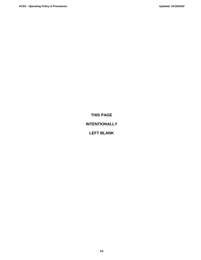**INTENTIONALLY**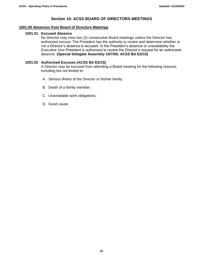## **Section 10: ACSS BOARD OF DIRECTORS MEETINGS**

#### **1001.00 Absences from Board of Directors Meetings**

#### **1001.01 Excused Absence**

No Director may miss two (2) consecutive Board meetings unless the Director has authorized excuse. The President has the authority to review and determine whether or not a Director's absence is excused. In the President's absence or unavailability the Executive Vice President is authorized to review the Director's request for an authorized absence. **(Special Delegate Assembly 10/7/05; ACSS Bd 5/2/15)**

#### **1001.02 Authorized Excuses (ACSS Bd 5/2/15)**

A Director may be excused from attending a Board meeting for the following reasons, including but not limited to:

- A. Serious illness of the Director or his/her family;
- B. Death of a family member;
- C. Unavoidable work obligations;
- D. Good cause.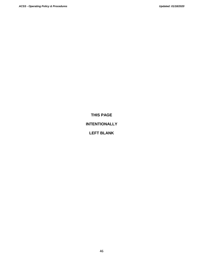**INTENTIONALLY**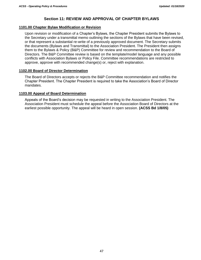## **Section 11: REVIEW AND APPROVAL OF CHAPTER BYLAWS**

#### **1101.00 Chapter Bylaw Modification or Revision**

Upon revision or modification of a Chapter's Bylaws, the Chapter President submits the Bylaws to the Secretary under a transmittal memo outlining the sections of the Bylaws that have been revised, or that represent a substantial re-write of a previously approved document. The Secretary submits the documents (Bylaws and Transmittal) to the Association President. The President then assigns them to the Bylaws & Policy (B&P) Committee for review and recommendation to the Board of Directors. The B&P Committee review is based on the template/model language and any possible conflicts with Association Bylaws or Policy File. Committee recommendations are restricted to approve, approve with recommended change(s) or, reject with explanation.

#### **1102.00 Board of Director Determination**

The Board of Directors accepts or rejects the B&P Committee recommendation and notifies the Chapter President. The Chapter President is required to take the Association's Board of Director mandates.

#### **1103.00 Appeal of Board Determination**

Appeals of the Board's decision may be requested in writing to the Association President. The Association President must schedule the appeal before the Association Board of Directors at the earliest possible opportunity. The appeal will be heard in open session. **(ACSS Bd 1/8/05)**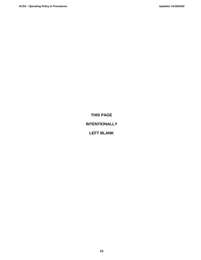**INTENTIONALLY**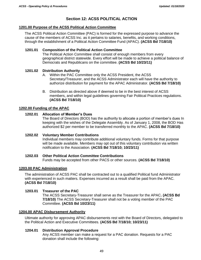## **Section 12: ACSS POLITICAL ACTION**

#### **1201.00 Purpose of the ACSS Political Action Committee**

The ACSS Political Action Committee (PAC) is formed for the expressed purpose to advance the cause of the members of ACSS Inc. as it pertains to salaries, benefits, and working conditions, through the establishment of a Political Action Committee Fund (APAC). **(ACSS Bd 7/18/10)**

#### **1201.01 Composition of the Political Action Committee**

The Political Action Committee shall consist of enough members from every geographical district statewide. Every effort will be made to achieve a political balance of Democrats and Republicans on the committee. **(ACSS Bd 10/23/11)**

#### **1201.02 Distribution Authority**

- A. Within the PAC Committee only the ACSS President, the ACSS Secretary/Treasurer, and the ACSS Administrator each will have the authority to authorize distribution for payment for the APAC Administrator. **(ACSS Bd 7/18/10)**
- B. Distribution as directed above if deemed to be in the best interest of ACSS members, and within legal guidelines governing Fair Political Practices regulations. **(ACSS Bd 7/18/10)**

#### **1202.00 Funding of the APAC**

#### **1202.01 Allocation of Member's Dues**

The Board of Directors (BOD) has the authority to allocate a portion of member's dues In keeping with the wishes of the Delegate Assembly. As of January 1, 2008, the BOD Has authorized \$2 per member to be transferred monthly to the APAC. **(ACSS Bd 7/18/10)**

#### **1202.02 Voluntary Member Contributions**

Individual members may contribute additional voluntary funds. Forms for that purpose will be made available. Members may opt out of this voluntary contribution via written notification to the Association. **(ACSS Bd 7/18/10; 10/23/11)**

## **1202.03 Other Political Action Committee Contributions** Funds may be accepted from other PACS or other sources. **(ACSS Bd 7/18/10)**

#### **1203.00 PAC Administration**

The administration of ACSS PAC shall be contracted out to a qualified Political fund Administrator with experienced in such matters. Expenses incurred as a result shall be paid from the APAC. **(ACSS Bd 7/18/10)**

#### **1203.01 Treasurer of the PAC**

The ACSS Secretary-Treasurer shall serve as the Treasurer for the APAC**. (ACSS Bd 7/18/10)** The ACSS Secretary-Treasurer shall not be a voting member of the PAC Committee. **(ACSS Bd 10/23/11)**

#### **1204.00 APAC Disbursement Authority**

Ultimate authority for approving APAC disbursements rest with the Board of Directors, delegated to the Political Action and Executive Committees. **(ACSS Bd 7/18/10; 10/23/11)**

#### **1204.01 Distribution Approval Procedure**

Any ACSS member can make a request for a PAC donation. Requests for a PAC donation shall include the following: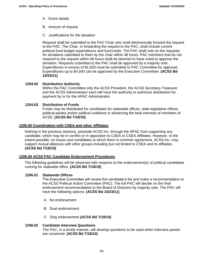- A. Event details
- B. Amount of request
- C. Justifications for the donation

Request shall be submitted to the PAC Chair who shall electronically forward the request to the PAC. The Chair, in forwarding the request to the PAC, shall include current political fund budget expenditures and fund totals. The PAC shall vote on the requests for donations submitted to them by the chair within 48 hours. PAC members that do not respond to the request within 48 hours shall be deemed to have voted to approve the donation. Requests submitted to the PAC shall be approved by a majority vote. Expenditures in excess of \$1,500 must be submitted to PAC Committee for approval. Expenditures up to \$4,500 can be approved by the Executive Committee. **(ACSS Bd 10/23/11)**

#### **1204.02 Distribution Authority**

Within the PAC Committee only the ACSS President, the ACSS Secretary-Treasurer and the ACSS Administrator each will have the authority to authorize distribution for payment by or for the APAC Administrator.

#### **1204.03 Distribution of Funds**

Funds may be distributed for candidates for statewide offices, state legislative offices, political parties and/or political coalitions in advancing the best interests of members of ACSS. **(ACSS Bd 7/18/10)**

#### **1205.00 Coordination with CSEA and other Affiliates**

Nothing in the previous sections, preclude ACSS Inc. through the APAC from supporting any candidate, which may be in conflict or in opposition to CSEA or CSEA Affiliates. However, to the extent possible, on issues and candidates to which there is common agreement, ACSS Inc. may support mutual alliances with other groups including but not limited to CSEA and its affiliates. **(ACSS Bd 7/18/10)**

#### **1206.00 ACSS PAC Candidate Endorsement Procedures**

The following guidelines will be observed with respects to the endorsement(s) of political candidates running for statewide office. **(ACSS Bd 7/18/10)**

#### **1206.01 Statewide Offices**

The Executive Committee will review the candidate's list and make a recommendation to the ACSS Political Action Committee (PAC). The full PAC will decide on the final endorsement recommendation to the Board of Directors by majority vote. The PAC will have the following options: **(ACSS Bd 10/23/11)**

- A. No endorsement
- B. Dual endorsement
- C. Sing endorsement **(ACSS Bd 7/18/10)**

#### **1206.02 Candidate Interview Questions**

The PAC, in a timely manner, will develop questions to be used when interview panels are convened. **(ACSS Bd 7/18/10)**